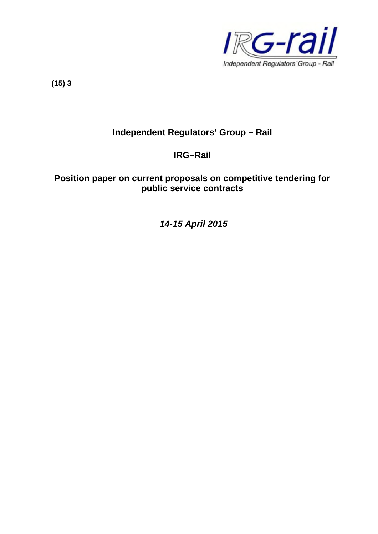

**(15) 3**

# **Independent Regulators' Group – Rail**

## **IRG–Rail**

## **Position paper on current proposals on competitive tendering for public service contracts**

*14-15 April 2015*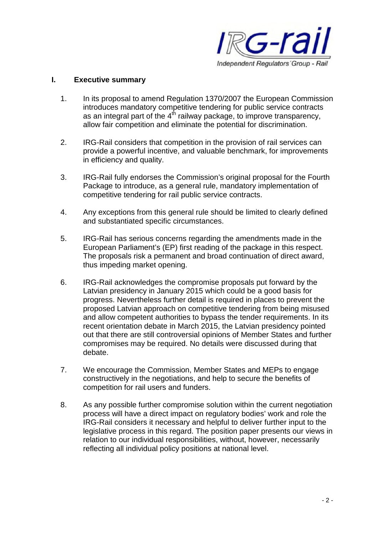

#### **I. Executive summary**

- 1. In its proposal to amend Regulation 1370/2007 the European Commission introduces mandatory competitive tendering for public service contracts as an integral part of the  $4<sup>th</sup>$  railway package, to improve transparency, allow fair competition and eliminate the potential for discrimination.
- 2. IRG-Rail considers that competition in the provision of rail services can provide a powerful incentive, and valuable benchmark, for improvements in efficiency and quality.
- 3. IRG-Rail fully endorses the Commission's original proposal for the Fourth Package to introduce, as a general rule, mandatory implementation of competitive tendering for rail public service contracts.
- 4. Any exceptions from this general rule should be limited to clearly defined and substantiated specific circumstances.
- 5. IRG-Rail has serious concerns regarding the amendments made in the European Parliament's (EP) first reading of the package in this respect. The proposals risk a permanent and broad continuation of direct award, thus impeding market opening.
- 6. IRG-Rail acknowledges the compromise proposals put forward by the Latvian presidency in January 2015 which could be a good basis for progress. Nevertheless further detail is required in places to prevent the proposed Latvian approach on competitive tendering from being misused and allow competent authorities to bypass the tender requirements. In its recent orientation debate in March 2015, the Latvian presidency pointed out that there are still controversial opinions of Member States and further compromises may be required. No details were discussed during that debate.
- 7. We encourage the Commission, Member States and MEPs to engage constructively in the negotiations, and help to secure the benefits of competition for rail users and funders.
- 8. As any possible further compromise solution within the current negotiation process will have a direct impact on regulatory bodies' work and role the IRG-Rail considers it necessary and helpful to deliver further input to the legislative process in this regard. The position paper presents our views in relation to our individual responsibilities, without, however, necessarily reflecting all individual policy positions at national level.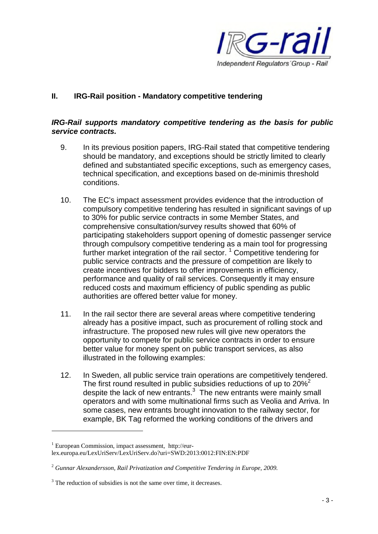

## **II. IRG-Rail position - Mandatory competitive tendering**

### *IRG-Rail supports mandatory competitive tendering as the basis for public service contracts.*

- 9. In its previous position papers, IRG-Rail stated that competitive tendering should be mandatory, and exceptions should be strictly limited to clearly defined and substantiated specific exceptions, such as emergency cases, technical specification, and exceptions based on de-minimis threshold conditions.
- 10. The EC's impact assessment provides evidence that the introduction of compulsory competitive tendering has resulted in significant savings of up to 30% for public service contracts in some Member States, and comprehensive consultation/survey results showed that 60% of participating stakeholders support opening of domestic passenger service through compulsory competitive tendering as a main tool for progressing further market integration of the rail sector.  $1$  Competitive tendering for public service contracts and the pressure of competition are likely to create incentives for bidders to offer improvements in efficiency, performance and quality of rail services. Consequently it may ensure reduced costs and maximum efficiency of public spending as public authorities are offered better value for money.
- 11. In the rail sector there are several areas where competitive tendering already has a positive impact, such as procurement of rolling stock and infrastructure. The proposed new rules will give new operators the opportunity to compete for public service contracts in order to ensure better value for money spent on public transport services, as also illustrated in the following examples:
- 12. In Sweden, all public service train operations are competitively tendered. The first round resulted in public subsidies reductions of up to  $20\%^2$ despite the lack of new entrants. $3$  The new entrants were mainly small operators and with some multinational firms such as Veolia and Arriva. In some cases, new entrants brought innovation to the railway sector, for example, BK Tag reformed the working conditions of the drivers and

 $1$  European Commission, impact assessment, http://eurlex.europa.eu/LexUriServ/LexUriServ.do?uri=SWD:2013:0012:FIN:EN:PDF

<sup>2</sup> *Gunnar Alexandersson, Rail Privatization and Competitive Tendering in Europe, 2009.*

 $3$  The reduction of subsidies is not the same over time, it decreases.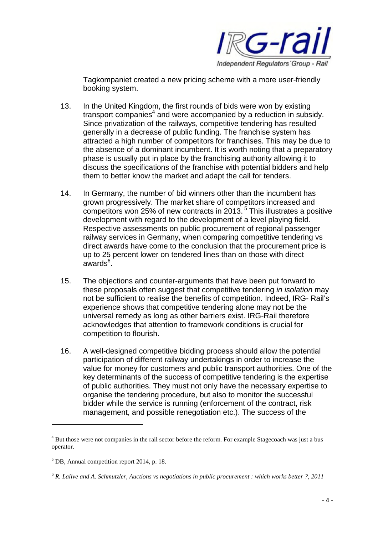

Tagkompaniet created a new pricing scheme with a more user-friendly booking system.

- 13. In the United Kingdom, the first rounds of bids were won by existing transport companies<sup>4</sup> and were accompanied by a reduction in subsidy. Since privatization of the railways, competitive tendering has resulted generally in a decrease of public funding. The franchise system has attracted a high number of competitors for franchises. This may be due to the absence of a dominant incumbent. It is worth noting that a preparatory phase is usually put in place by the franchising authority allowing it to discuss the specifications of the franchise with potential bidders and help them to better know the market and adapt the call for tenders.
- 14. In Germany, the number of bid winners other than the incumbent has grown progressively. The market share of competitors increased and competitors won 25% of new contracts in 2013.<sup>5</sup> This illustrates a positive development with regard to the development of a level playing field. Respective assessments on public procurement of regional passenger railway services in Germany, when comparing competitive tendering vs direct awards have come to the conclusion that the procurement price is up to 25 percent lower on tendered lines than on those with direct awards<sup>6</sup>.
- 15. The objections and counter-arguments that have been put forward to these proposals often suggest that competitive tendering *in isolation* may not be sufficient to realise the benefits of competition. Indeed, IRG- Rail's experience shows that competitive tendering alone may not be the universal remedy as long as other barriers exist. IRG-Rail therefore acknowledges that attention to framework conditions is crucial for competition to flourish.
- 16. A well-designed competitive bidding process should allow the potential participation of different railway undertakings in order to increase the value for money for customers and public transport authorities. One of the key determinants of the success of competitive tendering is the expertise of public authorities. They must not only have the necessary expertise to organise the tendering procedure, but also to monitor the successful bidder while the service is running (enforcement of the contract, risk management, and possible renegotiation etc.). The success of the

<sup>&</sup>lt;sup>4</sup> But those were not companies in the rail sector before the reform. For example Stagecoach was just a bus operator.

 $<sup>5</sup>$  DB, Annual competition report 2014, p. 18.</sup>

<sup>6</sup> *R. Lalive and A. Schmutzler, Auctions vs negotiations in public procurement : which works better ?, 2011*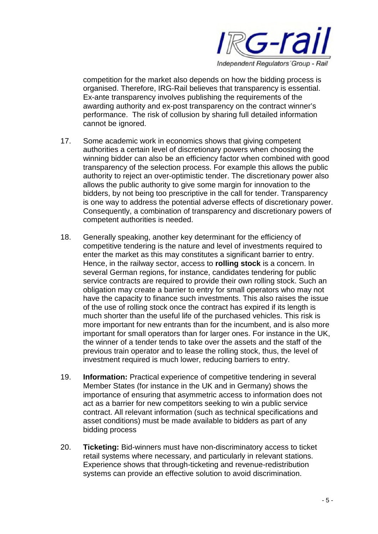

competition for the market also depends on how the bidding process is organised. Therefore, IRG-Rail believes that transparency is essential. Ex-ante transparency involves publishing the requirements of the awarding authority and ex-post transparency on the contract winner's performance. The risk of collusion by sharing full detailed information cannot be ignored.

- 17. Some academic work in economics shows that giving competent authorities a certain level of discretionary powers when choosing the winning bidder can also be an efficiency factor when combined with good transparency of the selection process. For example this allows the public authority to reject an over-optimistic tender. The discretionary power also allows the public authority to give some margin for innovation to the bidders, by not being too prescriptive in the call for tender. Transparency is one way to address the potential adverse effects of discretionary power. Consequently, a combination of transparency and discretionary powers of competent authorities is needed.
- 18. Generally speaking, another key determinant for the efficiency of competitive tendering is the nature and level of investments required to enter the market as this may constitutes a significant barrier to entry. Hence, in the railway sector, access to **rolling stock** is a concern. In several German regions, for instance, candidates tendering for public service contracts are required to provide their own rolling stock. Such an obligation may create a barrier to entry for small operators who may not have the capacity to finance such investments. This also raises the issue of the use of rolling stock once the contract has expired if its length is much shorter than the useful life of the purchased vehicles. This risk is more important for new entrants than for the incumbent, and is also more important for small operators than for larger ones. For instance in the UK, the winner of a tender tends to take over the assets and the staff of the previous train operator and to lease the rolling stock, thus, the level of investment required is much lower, reducing barriers to entry.
- 19. **Information:** Practical experience of competitive tendering in several Member States (for instance in the UK and in Germany) shows the importance of ensuring that asymmetric access to information does not act as a barrier for new competitors seeking to win a public service contract. All relevant information (such as technical specifications and asset conditions) must be made available to bidders as part of any bidding process
- 20. **Ticketing:** Bid-winners must have non-discriminatory access to ticket retail systems where necessary, and particularly in relevant stations. Experience shows that through-ticketing and revenue-redistribution systems can provide an effective solution to avoid discrimination.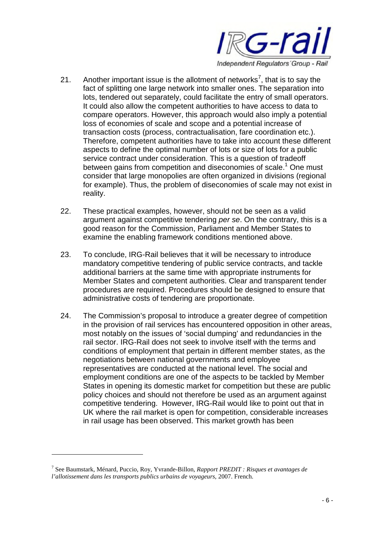

- 21. Another important issue is the allotment of networks<sup>7</sup>, that is to say the fact of splitting one large network into smaller ones. The separation into lots, tendered out separately, could facilitate the entry of small operators. It could also allow the competent authorities to have access to data to compare operators. However, this approach would also imply a potential loss of economies of scale and scope and a potential increase of transaction costs (process, contractualisation, fare coordination etc.). Therefore, competent authorities have to take into account these different aspects to define the optimal number of lots or size of lots for a public service contract under consideration. This is a question of tradeoff between gains from competition and diseconomies of scale.<sup>1</sup> One must consider that large monopolies are often organized in divisions (regional for example). Thus, the problem of diseconomies of scale may not exist in reality.
- 22. These practical examples, however, should not be seen as a valid argument against competitive tendering *per se*. On the contrary, this is a good reason for the Commission, Parliament and Member States to examine the enabling framework conditions mentioned above.
- 23. To conclude, IRG-Rail believes that it will be necessary to introduce mandatory competitive tendering of public service contracts, and tackle additional barriers at the same time with appropriate instruments for Member States and competent authorities. Clear and transparent tender procedures are required. Procedures should be designed to ensure that administrative costs of tendering are proportionate.
- 24. The Commission's proposal to introduce a greater degree of competition in the provision of rail services has encountered opposition in other areas, most notably on the issues of 'social dumping' and redundancies in the rail sector. IRG-Rail does not seek to involve itself with the terms and conditions of employment that pertain in different member states, as the negotiations between national governments and employee representatives are conducted at the national level. The social and employment conditions are one of the aspects to be tackled by Member States in opening its domestic market for competition but these are public policy choices and should not therefore be used as an argument against competitive tendering. However, IRG-Rail would like to point out that in UK where the rail market is open for competition, considerable increases in rail usage has been observed. This market growth has been

<sup>7</sup> See Baumstark, Ménard, Puccio, Roy, Yvrande-Billon, *Rapport PREDIT : Risques et avantages de l'allotissement dans les transports publics urbains de voyageurs,* 2007. French.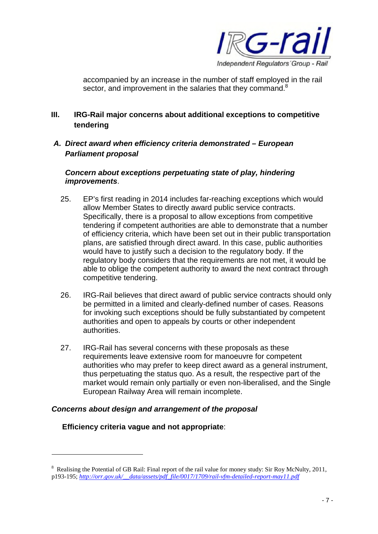

accompanied by an increase in the number of staff employed in the rail sector, and improvement in the salaries that they command.<sup>8</sup>

## **III. IRG-Rail major concerns about additional exceptions to competitive tendering**

*A. Direct award when efficiency criteria demonstrated – European Parliament proposal*

#### *Concern about exceptions perpetuating state of play, hindering improvements*.

- 25. EP's first reading in 2014 includes far-reaching exceptions which would allow Member States to directly award public service contracts. Specifically, there is a proposal to allow exceptions from competitive tendering if competent authorities are able to demonstrate that a number of efficiency criteria, which have been set out in their public transportation plans, are satisfied through direct award. In this case, public authorities would have to justify such a decision to the regulatory body. If the regulatory body considers that the requirements are not met, it would be able to oblige the competent authority to award the next contract through competitive tendering.
- 26. IRG-Rail believes that direct award of public service contracts should only be permitted in a limited and clearly-defined number of cases. Reasons for invoking such exceptions should be fully substantiated by competent authorities and open to appeals by courts or other independent authorities.
- 27. IRG-Rail has several concerns with these proposals as these requirements leave extensive room for manoeuvre for competent authorities who may prefer to keep direct award as a general instrument, thus perpetuating the status quo. As a result, the respective part of the market would remain only partially or even non-liberalised, and the Single European Railway Area will remain incomplete.

## *Concerns about design and arrangement of the proposal*

## **Efficiency criteria vague and not appropriate**:

<sup>&</sup>lt;sup>8</sup> Realising the Potential of GB Rail: Final report of the rail value for money study: Sir Roy McNulty, 2011, p193-195; *http://orr.gov.uk/\_\_data/assets/pdf\_file/0017/1709/rail-vfm-detailed-report-may11.pdf*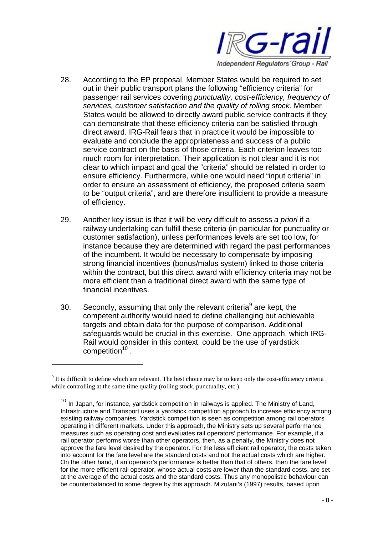

- 28. According to the EP proposal, Member States would be required to set out in their public transport plans the following "efficiency criteria" for passenger rail services covering *punctuality, cost-efficiency, frequency of services, customer satisfaction and the quality of rolling stock.* Member States would be allowed to directly award public service contracts if they can demonstrate that these efficiency criteria can be satisfied through direct award. IRG-Rail fears that in practice it would be impossible to evaluate and conclude the appropriateness and success of a public service contract on the basis of those criteria. Each criterion leaves too much room for interpretation. Their application is not clear and it is not clear to which impact and goal the "criteria" should be related in order to ensure efficiency. Furthermore, while one would need "input criteria" in order to ensure an assessment of efficiency, the proposed criteria seem to be "output criteria", and are therefore insufficient to provide a measure of efficiency.
- 29. Another key issue is that it will be very difficult to assess *a priori* if a railway undertaking can fulfill these criteria (in particular for punctuality or customer satisfaction), unless performances levels are set too low, for instance because they are determined with regard the past performances of the incumbent. It would be necessary to compensate by imposing strong financial incentives (bonus/malus system) linked to those criteria within the contract, but this direct award with efficiency criteria may not be more efficient than a traditional direct award with the same type of financial incentives.
- 30. Secondly, assuming that only the relevant criteria<sup>9</sup> are kept, the competent authority would need to define challenging but achievable targets and obtain data for the purpose of comparison. Additional safeguards would be crucial in this exercise. One approach, which IRG-Rail would consider in this context, could be the use of yardstick competition<sup>10</sup>.

 $9$  It is difficult to define which are relevant. The best choice may be to keep only the cost-efficiency criteria while controlling at the same time quality (rolling stock, punctuality, etc.).

 $10$  In Japan, for instance, yardstick competition in railways is applied. The Ministry of Land, Infrastructure and Transport uses a yardstick competition approach to increase efficiency among existing railway companies. Yardstick competition is seen as competition among rail operators operating in different markets. Under this approach, the Ministry sets up several performance measures such as operating cost and evaluates rail operators' performance. For example, if a rail operator performs worse than other operators, then, as a penalty, the Ministry does not approve the fare level desired by the operator. For the less efficient rail operator, the costs taken into account for the fare level are the standard costs and not the actual costs which are higher. On the other hand, if an operator's performance is better than that of others, then the fare level for the more efficient rail operator, whose actual costs are lower than the standard costs, are set at the average of the actual costs and the standard costs. Thus any monopolistic behaviour can be counterbalanced to some degree by this approach. Mizutani's (1997) results, based upon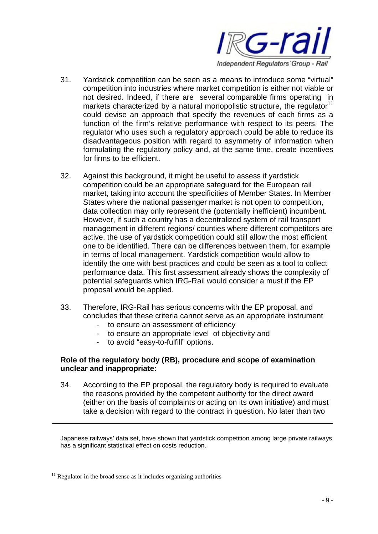

- 31. Yardstick competition can be seen as a means to introduce some "virtual" competition into industries where market competition is either not viable or not desired. Indeed, if there are several comparable firms operating in markets characterized by a natural monopolistic structure, the regulator<sup>11</sup> could devise an approach that specify the revenues of each firms as a function of the firm's relative performance with respect to its peers. The regulator who uses such a regulatory approach could be able to reduce its disadvantageous position with regard to asymmetry of information when formulating the regulatory policy and, at the same time, create incentives for firms to be efficient.
- 32. Against this background, it might be useful to assess if yardstick competition could be an appropriate safeguard for the European rail market, taking into account the specificities of Member States. In Member States where the national passenger market is not open to competition, data collection may only represent the (potentially inefficient) incumbent. However, if such a country has a decentralized system of rail transport management in different regions/ counties where different competitors are active, the use of yardstick competition could still allow the most efficient one to be identified. There can be differences between them, for example in terms of local management. Yardstick competition would allow to identify the one with best practices and could be seen as a tool to collect performance data. This first assessment already shows the complexity of potential safeguards which IRG-Rail would consider a must if the EP proposal would be applied.
- 33. Therefore, IRG-Rail has serious concerns with the EP proposal, and concludes that these criteria cannot serve as an appropriate instrument
	- to ensure an assessment of efficiency
	- to ensure an appropriate level of objectivity and
	- to avoid "easy-to-fulfill" options.

#### **Role of the regulatory body (RB), procedure and scope of examination unclear and inappropriate:**

34. According to the EP proposal, the regulatory body is required to evaluate the reasons provided by the competent authority for the direct award (either on the basis of complaints or acting on its own initiative) and must take a decision with regard to the contract in question. No later than two

Japanese railways' data set, have shown that yardstick competition among large private railways has a significant statistical effect on costs reduction.

 $11$  Regulator in the broad sense as it includes organizing authorities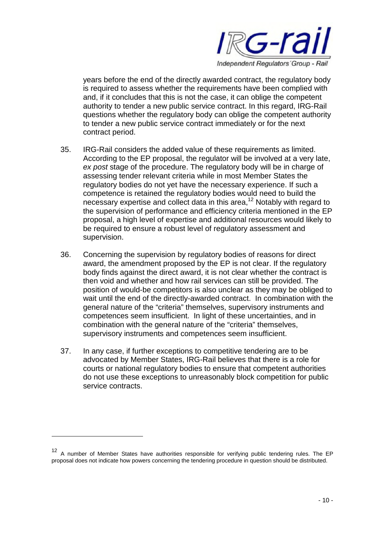

years before the end of the directly awarded contract, the regulatory body is required to assess whether the requirements have been complied with and, if it concludes that this is not the case, it can oblige the competent authority to tender a new public service contract. In this regard, IRG-Rail questions whether the regulatory body can oblige the competent authority to tender a new public service contract immediately or for the next contract period.

- 35. IRG-Rail considers the added value of these requirements as limited. According to the EP proposal, the regulator will be involved at a very late, *ex post* stage of the procedure. The regulatory body will be in charge of assessing tender relevant criteria while in most Member States the regulatory bodies do not yet have the necessary experience. If such a competence is retained the regulatory bodies would need to build the necessary expertise and collect data in this area,<sup>12</sup> Notably with regard to the supervision of performance and efficiency criteria mentioned in the EP proposal, a high level of expertise and additional resources would likely to be required to ensure a robust level of regulatory assessment and supervision.
- 36. Concerning the supervision by regulatory bodies of reasons for direct award, the amendment proposed by the EP is not clear. If the regulatory body finds against the direct award, it is not clear whether the contract is then void and whether and how rail services can still be provided. The position of would-be competitors is also unclear as they may be obliged to wait until the end of the directly-awarded contract. In combination with the general nature of the "criteria" themselves, supervisory instruments and competences seem insufficient. In light of these uncertainties, and in combination with the general nature of the "criteria" themselves, supervisory instruments and competences seem insufficient.
- 37. In any case, if further exceptions to competitive tendering are to be advocated by Member States, IRG-Rail believes that there is a role for courts or national regulatory bodies to ensure that competent authorities do not use these exceptions to unreasonably block competition for public service contracts.

<sup>12</sup> A number of Member States have authorities responsible for verifying public tendering rules. The EP proposal does not indicate how powers concerning the tendering procedure in question should be distributed.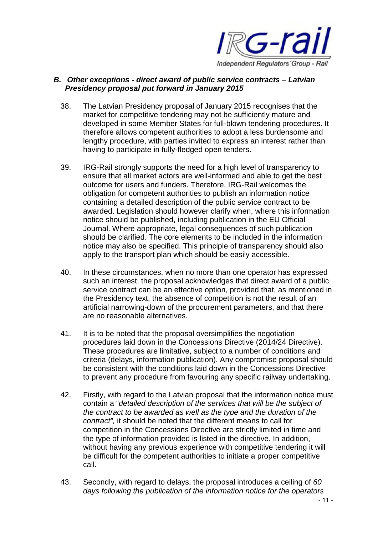

### *B. Other exceptions - direct award of public service contracts – Latvian Presidency proposal put forward in January 2015*

- 38. The Latvian Presidency proposal of January 2015 recognises that the market for competitive tendering may not be sufficiently mature and developed in some Member States for full-blown tendering procedures. It therefore allows competent authorities to adopt a less burdensome and lengthy procedure, with parties invited to express an interest rather than having to participate in fully-fledged open tenders.
- 39. IRG-Rail strongly supports the need for a high level of transparency to ensure that all market actors are well-informed and able to get the best outcome for users and funders. Therefore, IRG-Rail welcomes the obligation for competent authorities to publish an information notice containing a detailed description of the public service contract to be awarded. Legislation should however clarify when, where this information notice should be published, including publication in the EU Official Journal. Where appropriate, legal consequences of such publication should be clarified. The core elements to be included in the information notice may also be specified. This principle of transparency should also apply to the transport plan which should be easily accessible.
- 40. In these circumstances, when no more than one operator has expressed such an interest, the proposal acknowledges that direct award of a public service contract can be an effective option, provided that, as mentioned in the Presidency text, the absence of competition is not the result of an artificial narrowing-down of the procurement parameters, and that there are no reasonable alternatives.
- 41. It is to be noted that the proposal oversimplifies the negotiation procedures laid down in the Concessions Directive (2014/24 Directive). These procedures are limitative, subject to a number of conditions and criteria (delays, information publication). Any compromise proposal should be consistent with the conditions laid down in the Concessions Directive to prevent any procedure from favouring any specific railway undertaking.
- 42. Firstly, with regard to the Latvian proposal that the information notice must contain a "*detailed description of the services that will be the subject of the contract to be awarded as well as the type and the duration of the contract",* it should be noted that the different means to call for competition in the Concessions Directive are strictly limited in time and the type of information provided is listed in the directive. In addition, without having any previous experience with competitive tendering it will be difficult for the competent authorities to initiate a proper competitive call.
- 43. Secondly, with regard to delays, the proposal introduces a ceiling of *60 days following the publication of the information notice for the operators*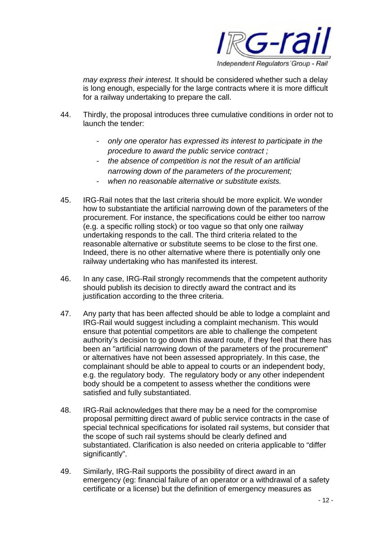

*may express their interest.* It should be considered whether such a delay is long enough, especially for the large contracts where it is more difficult for a railway undertaking to prepare the call.

- 44. Thirdly, the proposal introduces three cumulative conditions in order not to launch the tender:
	- *only one operator has expressed its interest to participate in the procedure to award the public service contract ;*
	- *the absence of competition is not the result of an artificial narrowing down of the parameters of the procurement;*
	- *when no reasonable alternative or substitute exists.*
- 45. IRG-Rail notes that the last criteria should be more explicit. We wonder how to substantiate the artificial narrowing down of the parameters of the procurement. For instance, the specifications could be either too narrow (e.g. a specific rolling stock) or too vague so that only one railway undertaking responds to the call. The third criteria related to the reasonable alternative or substitute seems to be close to the first one. Indeed, there is no other alternative where there is potentially only one railway undertaking who has manifested its interest.
- 46. In any case, IRG-Rail strongly recommends that the competent authority should publish its decision to directly award the contract and its justification according to the three criteria.
- 47. Any party that has been affected should be able to lodge a complaint and IRG-Rail would suggest including a complaint mechanism. This would ensure that potential competitors are able to challenge the competent authority's decision to go down this award route, if they feel that there has been an "artificial narrowing down of the parameters of the procurement" or alternatives have not been assessed appropriately. In this case, the complainant should be able to appeal to courts or an independent body, e.g. the regulatory body. The regulatory body or any other independent body should be a competent to assess whether the conditions were satisfied and fully substantiated.
- 48. IRG-Rail acknowledges that there may be a need for the compromise proposal permitting direct award of public service contracts in the case of special technical specifications for isolated rail systems, but consider that the scope of such rail systems should be clearly defined and substantiated. Clarification is also needed on criteria applicable to "differ significantly".
- 49. Similarly, IRG-Rail supports the possibility of direct award in an emergency (eg: financial failure of an operator or a withdrawal of a safety certificate or a license) but the definition of emergency measures as